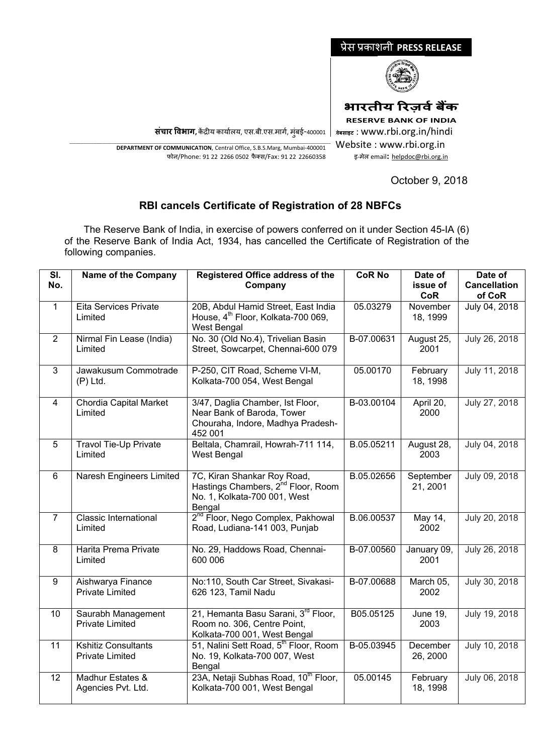

Website : www.rbi.org.in इ-मेल email**:** [helpdoc@rbi.org.in](mailto:helpdoc@rbi.org.in)

प्रेस प्रकाशनी **PRESS RELEASE**

**संचार �वभाग,** क�द्र�य कायार्लय, एस.बी.एस.मागर्, मुंबई-400001

\_\_\_\_\_\_\_\_\_\_\_\_\_\_\_\_\_\_\_\_\_\_\_\_\_\_\_\_\_\_\_\_\_\_\_\_\_\_\_\_\_\_\_\_\_\_\_\_\_\_\_\_\_\_\_\_\_\_\_\_\_\_\_\_\_\_\_\_\_\_\_\_\_\_\_\_\_\_\_\_\_\_\_\_\_\_\_\_\_\_\_\_\_\_\_\_\_\_\_\_\_\_\_\_\_\_\_\_\_\_\_\_\_\_\_\_\_ **DEPARTMENT OF COMMUNICATION**, Central Office, S.B.S.Marg, Mumbai-400001 फोन/Phone: 91 22 2266 0502 फै क्स/Fax: 91 22 22660358

October 9, 2018

## **RBI cancels Certificate of Registration of 28 NBFCs**

 The Reserve Bank of India, in exercise of powers conferred on it under Section 45-IA (6) of the Reserve Bank of India Act, 1934, has cancelled the Certificate of Registration of the following companies.

| SI.<br>No.      | <b>Name of the Company</b>                           | <b>Registered Office address of the</b><br>Company                                                                      | <b>CoR No</b> | Date of<br>issue of<br><b>CoR</b> | Date of<br><b>Cancellation</b><br>of CoR |
|-----------------|------------------------------------------------------|-------------------------------------------------------------------------------------------------------------------------|---------------|-----------------------------------|------------------------------------------|
| $\mathbf{1}$    | Eita Services Private<br>Limited                     | 20B, Abdul Hamid Street, East India<br>House, 4 <sup>th</sup> Floor, Kolkata-700 069,<br><b>West Bengal</b>             | 05.03279      | November<br>18, 1999              | July 04, 2018                            |
| $\overline{2}$  | Nirmal Fin Lease (India)<br>Limited                  | No. 30 (Old No.4), Trivelian Basin<br>Street, Sowcarpet, Chennai-600 079                                                | B-07.00631    | August 25,<br>2001                | July 26, 2018                            |
| 3               | Jawakusum Commotrade<br>$(P)$ Ltd.                   | P-250, CIT Road, Scheme VI-M,<br>Kolkata-700 054, West Bengal                                                           | 05.00170      | February<br>18, 1998              | July 11, 2018                            |
| 4               | Chordia Capital Market<br>Limited                    | 3/47, Daglia Chamber, Ist Floor,<br>Near Bank of Baroda, Tower<br>Chouraha, Indore, Madhya Pradesh-<br>452 001          | B-03.00104    | April 20,<br>2000                 | July 27, 2018                            |
| $5\phantom{.0}$ | <b>Travol Tie-Up Private</b><br>Limited              | Beltala, Chamrail, Howrah-711 114,<br>West Bengal                                                                       | B.05.05211    | August 28,<br>2003                | July 04, 2018                            |
| 6               | Naresh Engineers Limited                             | 7C, Kiran Shankar Roy Road,<br>Hastings Chambers, 2 <sup>nd</sup> Floor, Room<br>No. 1, Kolkata-700 001, West<br>Bengal | B.05.02656    | September<br>21, 2001             | July 09, 2018                            |
| $\overline{7}$  | <b>Classic International</b><br>Limited              | 2 <sup>nd</sup> Floor, Nego Complex, Pakhowal<br>Road, Ludiana-141 003, Punjab                                          | B.06.00537    | May 14,<br>2002                   | July 20, 2018                            |
| 8               | Harita Prema Private<br>Limited                      | No. 29, Haddows Road, Chennai-<br>600 006                                                                               | B-07.00560    | January 09,<br>2001               | July 26, 2018                            |
| 9               | Aishwarya Finance<br><b>Private Limited</b>          | No:110, South Car Street, Sivakasi-<br>626 123, Tamil Nadu                                                              | B-07.00688    | March 05,<br>2002                 | July 30, 2018                            |
| 10              | Saurabh Management<br><b>Private Limited</b>         | 21, Hemanta Basu Sarani, 3 <sup>rd</sup> Floor,<br>Room no. 306, Centre Point,<br>Kolkata-700 001, West Bengal          | B05.05125     | June 19,<br>2003                  | July 19, 2018                            |
| 11              | <b>Kshitiz Consultants</b><br><b>Private Limited</b> | 51, Nalini Sett Road, 5 <sup>th</sup> Floor, Room<br>No. 19, Kolkata-700 007, West<br>Bengal                            | B-05.03945    | December<br>26, 2000              | July 10, 2018                            |
| 12 <sup>2</sup> | Madhur Estates &<br>Agencies Pvt. Ltd.               | 23A, Netaji Subhas Road, 10 <sup>th</sup> Floor,<br>Kolkata-700 001, West Bengal                                        | 05.00145      | February<br>18, 1998              | July 06, 2018                            |